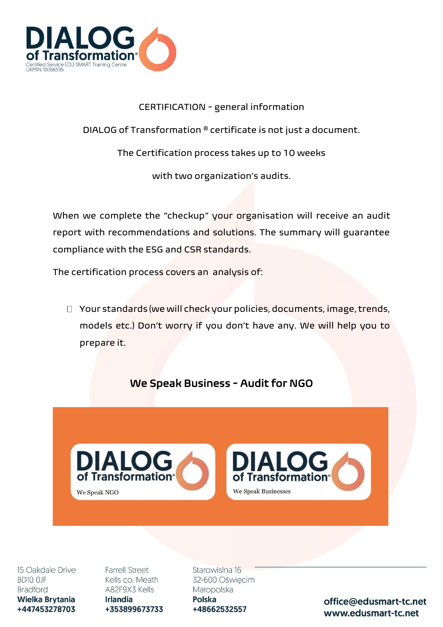

## CERTIFICATION - general information

DIALOG of Transformation ®️ certificate is not just a document.

The Certification process takes up to 10 weeks

with two organization's audits.

When we complete the "checkup" your organisation will receive an audit report with recommendations and solutions. The summary will guarantee compliance with the ESG and CSR standards.

The certification process covers an analysis of:

Your standards (we will check your policies, documents, image, trends, models etc.) Don't worry if you don't have any. We will help you to prepare it.

## We Speak Business - Audit for NGO





15 Oakdale Drive BD10 OJF **Bradford** Wielka Brytania +447453278703

**Farrell Street** Kells co. Meath A82F9X3 Kells **Irlandia** +353899673733 Starowislna 16 32-600 Oświęcim Małopolska Polska +48662532557

office@edusmart-tc.net www.edusmart-tc.net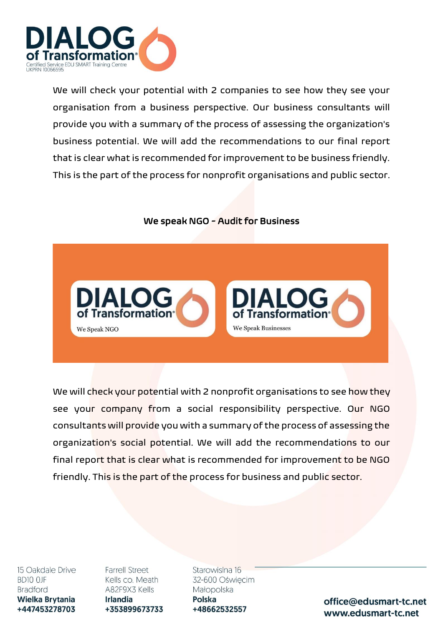

We will check your potential with 2 companies to see how they see your organisation from a business perspective. Our business consultants will provide you with a summary of the process of assessing the organization's business potential. We will add the recommendations to our final report that is clear what is recommended for improvement to be business friendly. This is the part of the process for nonprofit organisations and public sector.

## We speak NGO - Audit for Business



We will check your potential with 2 nonprofit organisations to see how they see your company from a social responsibility perspective. Our NGO consultants will provide you with a summary of the process of assessing the organization's social potential. We will add the recommendations to our final report that is clear what is recommended for improvement to be NGO friendly. This is the part of the process for business and public sector.

15 Oakdale Drive BD10 OJF **Bradford** Wielka Brytania +447453278703

**Farrell Street** Kells co. Meath A82F9X3 Kells **Irlandia** +353899673733 Starowislna 16 32-600 Oświęcim Małopolska Polska +48662532557

office@edusmart-tc.net www.edusmart-tc.net